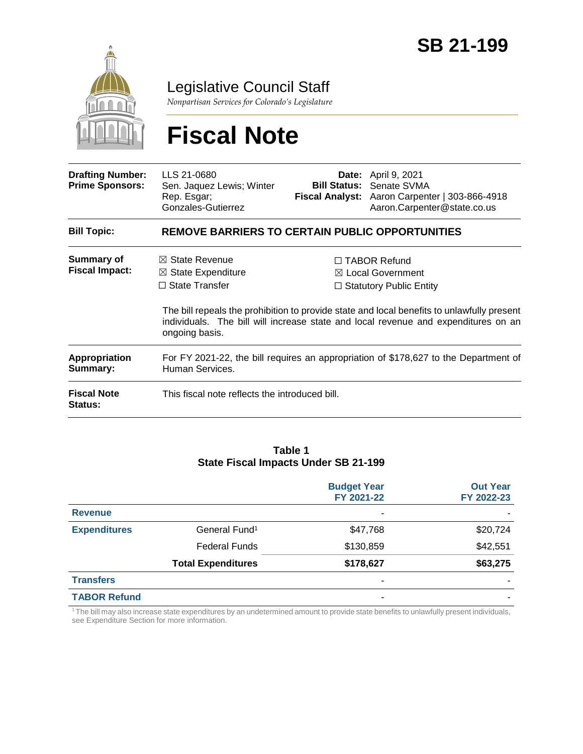

Legislative Council Staff

*Nonpartisan Services for Colorado's Legislature*

# **Fiscal Note**

| <b>Drafting Number:</b><br><b>Prime Sponsors:</b> | LLS 21-0680<br>Sen. Jaquez Lewis; Winter<br>Rep. Esgar;<br>Gonzales-Gutierrez                           |  | <b>Date:</b> April 9, 2021<br><b>Bill Status: Senate SVMA</b><br>Fiscal Analyst: Aaron Carpenter   303-866-4918<br>Aaron.Carpenter@state.co.us                                                                                                                  |  |  |
|---------------------------------------------------|---------------------------------------------------------------------------------------------------------|--|-----------------------------------------------------------------------------------------------------------------------------------------------------------------------------------------------------------------------------------------------------------------|--|--|
| <b>Bill Topic:</b>                                | <b>REMOVE BARRIERS TO CERTAIN PUBLIC OPPORTUNITIES</b>                                                  |  |                                                                                                                                                                                                                                                                 |  |  |
| <b>Summary of</b><br><b>Fiscal Impact:</b>        | $\boxtimes$ State Revenue<br>$\boxtimes$ State Expenditure<br>$\Box$ State Transfer<br>ongoing basis.   |  | $\Box$ TABOR Refund<br>⊠ Local Government<br>$\Box$ Statutory Public Entity<br>The bill repeals the prohibition to provide state and local benefits to unlawfully present<br>individuals. The bill will increase state and local revenue and expenditures on an |  |  |
| <b>Appropriation</b><br>Summary:                  | For FY 2021-22, the bill requires an appropriation of \$178,627 to the Department of<br>Human Services. |  |                                                                                                                                                                                                                                                                 |  |  |
| <b>Fiscal Note</b><br><b>Status:</b>              | This fiscal note reflects the introduced bill.                                                          |  |                                                                                                                                                                                                                                                                 |  |  |

#### **Table 1 State Fiscal Impacts Under SB 21-199**

|                     |                           | <b>Budget Year</b><br>FY 2021-22 | <b>Out Year</b><br>FY 2022-23 |
|---------------------|---------------------------|----------------------------------|-------------------------------|
| <b>Revenue</b>      |                           | ٠                                |                               |
| <b>Expenditures</b> | General Fund <sup>1</sup> | \$47,768                         | \$20,724                      |
|                     | <b>Federal Funds</b>      | \$130,859                        | \$42,551                      |
|                     | <b>Total Expenditures</b> | \$178,627                        | \$63,275                      |
| <b>Transfers</b>    |                           | -                                |                               |
| <b>TABOR Refund</b> |                           |                                  |                               |

<sup>1</sup>The bill may also increase state expenditures by an undetermined amount to provide state benefits to unlawfully present individuals, see Expenditure Section for more information.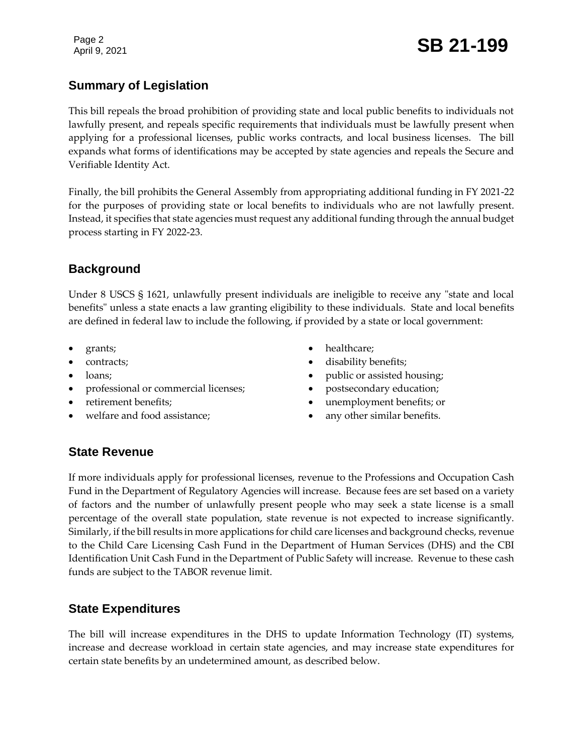Page 2

# Page 2<br>April 9, 2021 **SB 21-199**

# **Summary of Legislation**

This bill repeals the broad prohibition of providing state and local public benefits to individuals not lawfully present, and repeals specific requirements that individuals must be lawfully present when applying for a professional licenses, public works contracts, and local business licenses. The bill expands what forms of identifications may be accepted by state agencies and repeals the Secure and Verifiable Identity Act.

Finally, the bill prohibits the General Assembly from appropriating additional funding in FY 2021-22 for the purposes of providing state or local benefits to individuals who are not lawfully present. Instead, it specifies that state agencies must request any additional funding through the annual budget process starting in FY 2022-23.

### **Background**

Under 8 USCS § 1621, unlawfully present individuals are ineligible to receive any "state and local benefits" unless a state enacts a law granting eligibility to these individuals. State and local benefits are defined in federal law to include the following, if provided by a state or local government:

- grants;
- contracts;
- loans;
- professional or commercial licenses;
- retirement benefits;
- welfare and food assistance;
- healthcare;
- disability benefits;
- public or assisted housing;
- postsecondary education;
- unemployment benefits; or
- any other similar benefits.

#### **State Revenue**

If more individuals apply for professional licenses, revenue to the Professions and Occupation Cash Fund in the Department of Regulatory Agencies will increase. Because fees are set based on a variety of factors and the number of unlawfully present people who may seek a state license is a small percentage of the overall state population, state revenue is not expected to increase significantly. Similarly, if the bill results in more applications for child care licenses and background checks, revenue to the Child Care Licensing Cash Fund in the Department of Human Services (DHS) and the CBI Identification Unit Cash Fund in the Department of Public Safety will increase. Revenue to these cash funds are subject to the TABOR revenue limit.

#### **State Expenditures**

The bill will increase expenditures in the DHS to update Information Technology (IT) systems, increase and decrease workload in certain state agencies, and may increase state expenditures for certain state benefits by an undetermined amount, as described below.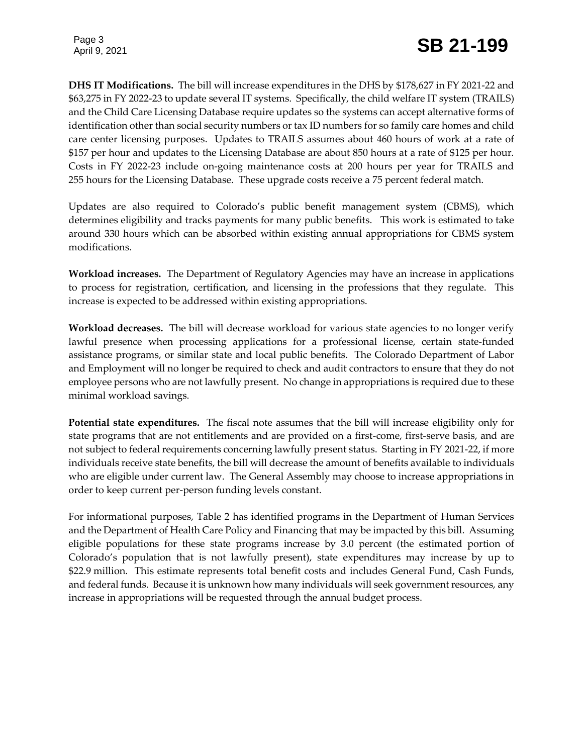Page 3

**DHS IT Modifications.** The bill will increase expenditures in the DHS by \$178,627 in FY 2021-22 and \$63,275 in FY 2022-23 to update several IT systems. Specifically, the child welfare IT system (TRAILS) and the Child Care Licensing Database require updates so the systems can accept alternative forms of identification other than social security numbers or tax ID numbers for so family care homes and child care center licensing purposes. Updates to TRAILS assumes about 460 hours of work at a rate of \$157 per hour and updates to the Licensing Database are about 850 hours at a rate of \$125 per hour. Costs in FY 2022-23 include on-going maintenance costs at 200 hours per year for TRAILS and 255 hours for the Licensing Database. These upgrade costs receive a 75 percent federal match.

Updates are also required to Colorado's public benefit management system (CBMS), which determines eligibility and tracks payments for many public benefits. This work is estimated to take around 330 hours which can be absorbed within existing annual appropriations for CBMS system modifications.

**Workload increases.** The Department of Regulatory Agencies may have an increase in applications to process for registration, certification, and licensing in the professions that they regulate. This increase is expected to be addressed within existing appropriations.

**Workload decreases.** The bill will decrease workload for various state agencies to no longer verify lawful presence when processing applications for a professional license, certain state-funded assistance programs, or similar state and local public benefits. The Colorado Department of Labor and Employment will no longer be required to check and audit contractors to ensure that they do not employee persons who are not lawfully present. No change in appropriations is required due to these minimal workload savings.

**Potential state expenditures.** The fiscal note assumes that the bill will increase eligibility only for state programs that are not entitlements and are provided on a first-come, first-serve basis, and are not subject to federal requirements concerning lawfully present status. Starting in FY 2021-22, if more individuals receive state benefits, the bill will decrease the amount of benefits available to individuals who are eligible under current law. The General Assembly may choose to increase appropriations in order to keep current per-person funding levels constant.

For informational purposes, Table 2 has identified programs in the Department of Human Services and the Department of Health Care Policy and Financing that may be impacted by this bill. Assuming eligible populations for these state programs increase by 3.0 percent (the estimated portion of Colorado's population that is not lawfully present), state expenditures may increase by up to \$22.9 million. This estimate represents total benefit costs and includes General Fund, Cash Funds, and federal funds. Because it is unknown how many individuals will seek government resources, any increase in appropriations will be requested through the annual budget process.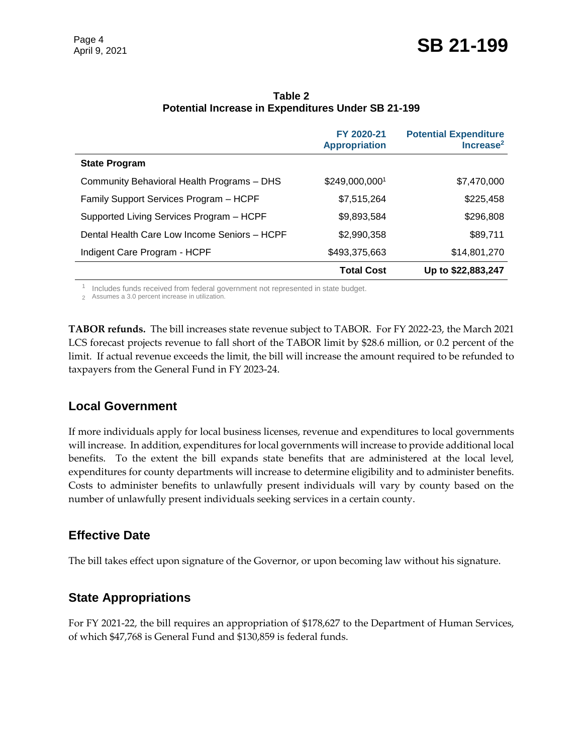|                                              | FY 2020-21<br><b>Appropriation</b> | <b>Potential Expenditure</b><br>Increase <sup>2</sup> |
|----------------------------------------------|------------------------------------|-------------------------------------------------------|
| <b>State Program</b>                         |                                    |                                                       |
| Community Behavioral Health Programs - DHS   | \$249,000,0001                     | \$7,470,000                                           |
| Family Support Services Program - HCPF       | \$7,515,264                        | \$225,458                                             |
| Supported Living Services Program - HCPF     | \$9,893,584                        | \$296,808                                             |
| Dental Health Care Low Income Seniors - HCPF | \$2,990,358                        | \$89,711                                              |
| Indigent Care Program - HCPF                 | \$493,375,663                      | \$14,801,270                                          |
|                                              | <b>Total Cost</b>                  | Up to \$22,883,247                                    |

**Table 2 Potential Increase in Expenditures Under SB 21-199** 

 $1$  Includes funds received from federal government not represented in state budget.

2 Assumes a 3.0 percent increase in utilization.

**TABOR refunds.** The bill increases state revenue subject to TABOR. For FY 2022-23, the March 2021 LCS forecast projects revenue to fall short of the TABOR limit by \$28.6 million, or 0.2 percent of the limit. If actual revenue exceeds the limit, the bill will increase the amount required to be refunded to taxpayers from the General Fund in FY 2023-24.

#### **Local Government**

If more individuals apply for local business licenses, revenue and expenditures to local governments will increase. In addition, expenditures for local governments will increase to provide additional local benefits. To the extent the bill expands state benefits that are administered at the local level, expenditures for county departments will increase to determine eligibility and to administer benefits. Costs to administer benefits to unlawfully present individuals will vary by county based on the number of unlawfully present individuals seeking services in a certain county.

#### **Effective Date**

The bill takes effect upon signature of the Governor, or upon becoming law without his signature.

## **State Appropriations**

For FY 2021-22, the bill requires an appropriation of \$178,627 to the Department of Human Services, of which \$47,768 is General Fund and \$130,859 is federal funds.